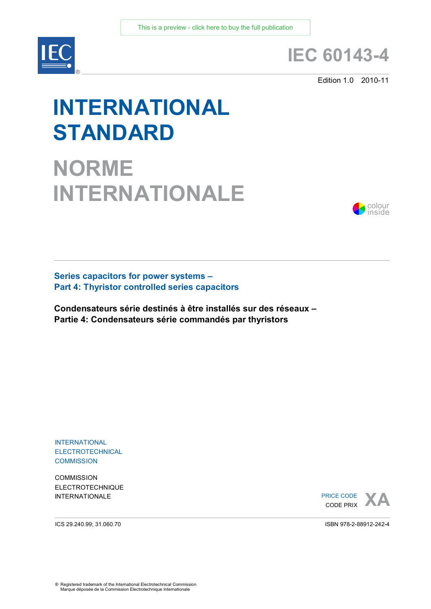

# **IEC 60143-4**

Edition 1.0 2010-11

# **INTERNATIONAL STANDARD**

**NORME INTERNATIONALE**



**Series capacitors for power systems – Part 4: Thyristor controlled series capacitors** 

**Condensateurs série destinés à être installés sur des réseaux – Partie 4: Condensateurs série commandés par thyristors** 

INTERNATIONAL ELECTROTECHNICAL **COMMISSION** 

**COMMISSION** ELECTROTECHNIQUE



ICS 29.240.99; 31.060.70

ISBN 978-2-88912-242-4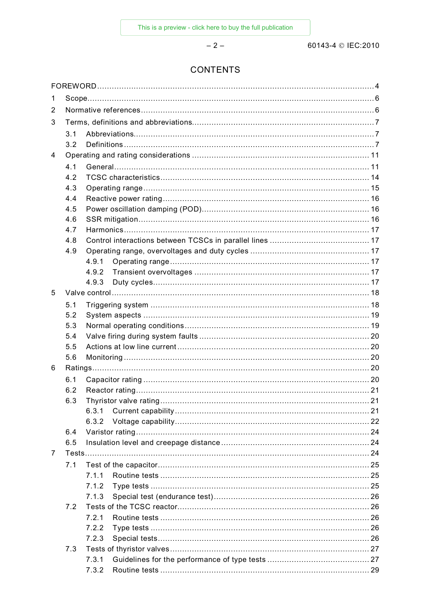$-2-$ 

# **CONTENTS**

| 1   |     |       |  |  |  |
|-----|-----|-------|--|--|--|
| 2   |     |       |  |  |  |
| 3   |     |       |  |  |  |
|     | 3.1 |       |  |  |  |
|     | 3.2 |       |  |  |  |
| 4   |     |       |  |  |  |
|     | 4.1 |       |  |  |  |
|     | 4.2 |       |  |  |  |
|     | 4.3 |       |  |  |  |
|     | 4.4 |       |  |  |  |
|     | 4.5 |       |  |  |  |
|     | 4.6 |       |  |  |  |
|     | 4.7 |       |  |  |  |
|     | 4.8 |       |  |  |  |
|     | 4.9 |       |  |  |  |
|     |     | 4.9.1 |  |  |  |
|     |     | 4.9.2 |  |  |  |
|     |     | 4.9.3 |  |  |  |
| 5   |     |       |  |  |  |
|     |     |       |  |  |  |
|     | 5.1 |       |  |  |  |
|     | 5.2 |       |  |  |  |
|     | 5.3 |       |  |  |  |
|     | 5.4 |       |  |  |  |
|     | 5.5 |       |  |  |  |
|     | 5.6 |       |  |  |  |
| 6   |     |       |  |  |  |
|     | 6.1 |       |  |  |  |
|     | 6.2 |       |  |  |  |
|     | 6.3 |       |  |  |  |
|     |     | 6.3.1 |  |  |  |
|     |     | 6.3.2 |  |  |  |
|     | 6.4 |       |  |  |  |
|     | 6.5 |       |  |  |  |
| 7   |     |       |  |  |  |
|     | 7.1 |       |  |  |  |
|     |     | 7.1.1 |  |  |  |
|     |     | 7.1.2 |  |  |  |
|     |     | 7.1.3 |  |  |  |
| 7.2 |     |       |  |  |  |
|     |     | 7.2.1 |  |  |  |
|     |     | 7.2.2 |  |  |  |
|     |     | 7.2.3 |  |  |  |
|     | 7.3 |       |  |  |  |
|     |     | 7.3.1 |  |  |  |
|     |     |       |  |  |  |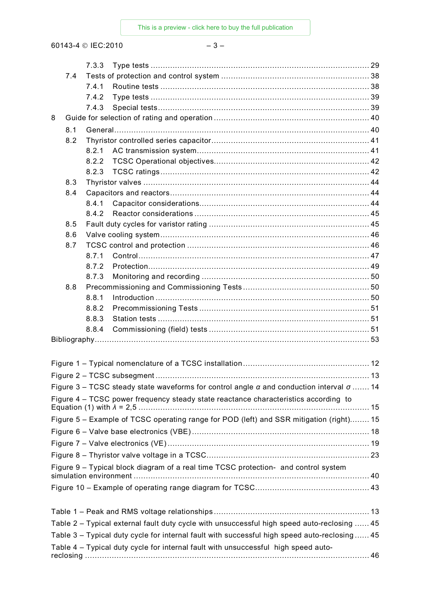60143-4 © IEC:2010

# $-3-$

|                                                                                               |                                                                                             | 7.3.3 |                                                                                                       |  |
|-----------------------------------------------------------------------------------------------|---------------------------------------------------------------------------------------------|-------|-------------------------------------------------------------------------------------------------------|--|
|                                                                                               | 7.4                                                                                         |       |                                                                                                       |  |
|                                                                                               |                                                                                             | 7.4.1 |                                                                                                       |  |
|                                                                                               |                                                                                             | 7.4.2 |                                                                                                       |  |
|                                                                                               |                                                                                             | 7.4.3 |                                                                                                       |  |
| 8                                                                                             |                                                                                             |       |                                                                                                       |  |
|                                                                                               | 8.1                                                                                         |       |                                                                                                       |  |
|                                                                                               | 8.2                                                                                         |       |                                                                                                       |  |
|                                                                                               |                                                                                             | 8.2.1 |                                                                                                       |  |
|                                                                                               |                                                                                             | 8.2.2 |                                                                                                       |  |
|                                                                                               |                                                                                             | 8.2.3 |                                                                                                       |  |
|                                                                                               | 8.3                                                                                         |       |                                                                                                       |  |
|                                                                                               | 8.4                                                                                         |       |                                                                                                       |  |
|                                                                                               |                                                                                             | 8.4.1 |                                                                                                       |  |
|                                                                                               |                                                                                             |       |                                                                                                       |  |
|                                                                                               | 8.5                                                                                         |       |                                                                                                       |  |
|                                                                                               | 8.6                                                                                         |       |                                                                                                       |  |
|                                                                                               | 8.7                                                                                         |       |                                                                                                       |  |
|                                                                                               |                                                                                             | 8.7.1 |                                                                                                       |  |
|                                                                                               |                                                                                             | 8.7.2 |                                                                                                       |  |
|                                                                                               |                                                                                             | 8.7.3 |                                                                                                       |  |
|                                                                                               | 8.8                                                                                         |       |                                                                                                       |  |
|                                                                                               |                                                                                             | 8.8.1 |                                                                                                       |  |
|                                                                                               |                                                                                             | 8.8.2 |                                                                                                       |  |
|                                                                                               |                                                                                             | 8.8.3 |                                                                                                       |  |
|                                                                                               |                                                                                             | 8.8.4 |                                                                                                       |  |
|                                                                                               |                                                                                             |       |                                                                                                       |  |
|                                                                                               |                                                                                             |       |                                                                                                       |  |
|                                                                                               |                                                                                             |       |                                                                                                       |  |
|                                                                                               |                                                                                             |       |                                                                                                       |  |
|                                                                                               |                                                                                             |       | Figure 3 – TCSC steady state waveforms for control angle $\alpha$ and conduction interval $\sigma$ 14 |  |
|                                                                                               |                                                                                             |       | Figure 4 - TCSC power frequency steady state reactance characteristics according to                   |  |
|                                                                                               |                                                                                             |       | Figure 5 - Example of TCSC operating range for POD (left) and SSR mitigation (right) 15               |  |
|                                                                                               |                                                                                             |       |                                                                                                       |  |
|                                                                                               |                                                                                             |       |                                                                                                       |  |
|                                                                                               |                                                                                             |       |                                                                                                       |  |
|                                                                                               |                                                                                             |       |                                                                                                       |  |
|                                                                                               |                                                                                             |       | Figure 9 – Typical block diagram of a real time TCSC protection- and control system                   |  |
|                                                                                               |                                                                                             |       |                                                                                                       |  |
|                                                                                               |                                                                                             |       |                                                                                                       |  |
|                                                                                               |                                                                                             |       |                                                                                                       |  |
|                                                                                               | Table 2 - Typical external fault duty cycle with unsuccessful high speed auto-reclosing  45 |       |                                                                                                       |  |
| Table 3 - Typical duty cycle for internal fault with successful high speed auto-reclosing  45 |                                                                                             |       |                                                                                                       |  |
|                                                                                               |                                                                                             |       | Table 4 – Typical duty cycle for internal fault with unsuccessful high speed auto-                    |  |
|                                                                                               |                                                                                             |       |                                                                                                       |  |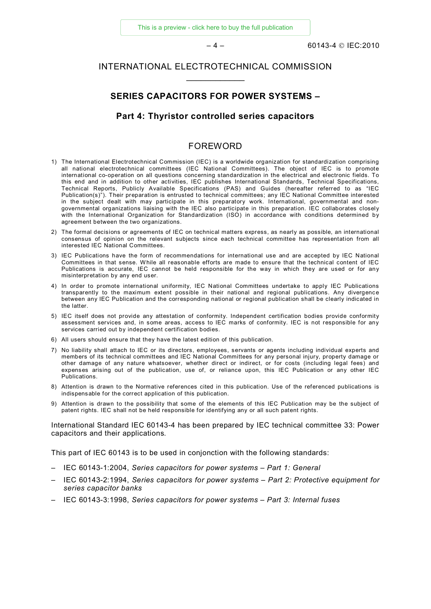# INTERNATIONAL ELECTROTECHNICAL COMMISSION <u>Zzz</u>zzzzzzz

### **SERIES CAPACITORS FOR POWER SYSTEMS -**

### **Part 4: Thyristor controlled series capacitors**

### <span id="page-3-0"></span>FOREWORD

- 1) The International Electrotechnical Commission (IEC) is a worldwide organization for standardization comprising all national electrotechnical committees (IEC National Committees). The object of IEC is to promote international co-operation on all questions concerning standardization in the electrical and electronic fields. To this end and in addition to other activities, IEC publishes International Standards, Technical Specifications, Technical Reports, Publicly Available Specifications (PAS) and Guides (hereafter referred to as "IEC Publication(s)"). Their preparation is entrusted to technical committees; any IEC National Committee interested in the subject dealt with may participate in this preparatory work. International, governmental and nongovernmental organizations liaising with the IEC also participate in this preparation. IEC collaborates closely with the International Organization for Standardization (ISO) in accordance with conditions determined by agreement between the two organizations.
- 2) The formal decisions or agreements of IEC on technical matters express, as nearly as possible, an international consensus of opinion on the relevant subjects since each technical committee has representation from all interested IEC National Committees.
- 3) IEC Publications have the form of recommendations for international use and are accepted by IEC National Committees in that sense. While all reasonable efforts are made to ensure that the technical content of IEC Publications is accurate, IEC cannot be held responsible for the way in which they are used or for any misinterpretation by any end user.
- 4) In order to promote international uniformity, IEC National Committees undertake to apply IEC Publications  $transparent$  transparently to the maximum extent possible in their national and regional publications. Any divergence between any IEC Publication and the corresponding national or regional publication shall be clearly indicated in the latter.
- 5) IEC itself does not provide any attestation of conformity. Independent certification bodies provide conformity assessment services and, in some areas, access to IEC marks of conformity. IEC is not responsible for any services carried out by independent certification bodies.
- 6) All users should ensure that they have the latest edition of this publication.
- 7) No liability shall attach to IEC or its directors, employees, servants or agents including individual experts and members of its technical committees and IEC National Committees for any personal injury, property damage or other damage of any nature whatsoever, whether direct or indirect, or for costs (including legal fees) and expenses arising out of the publication, use of, or reliance upon, this IEC Publication or any other IEC Publications.
- 8) Attention is drawn to the Normative references cited in this publication. Use of the referenced publications is indispensable for the correct application of this publication.
- 9) Attention is drawn to the possibility that some of the elements of this IEC Publication may be the subject of patent rights. IEC shall not be held responsible for identifying any or all such patent rights.

International Standard IEC 60143-4 has been prepared by IEC technical committee 33: Power  $\alpha$  capacitors and their applications.

This part of IEC 60143 is to be used in conjonction with the following standards:

- IEC 60143-1:2004, Series capacitors for power systems Part 1: General
- IEC 60143-2:1994, Series capacitors for power systems Part 2: Protective equipment for series capacitor banks
- IEC 60143-3:1998, Series capacitors for power systems Part 3: Internal fuses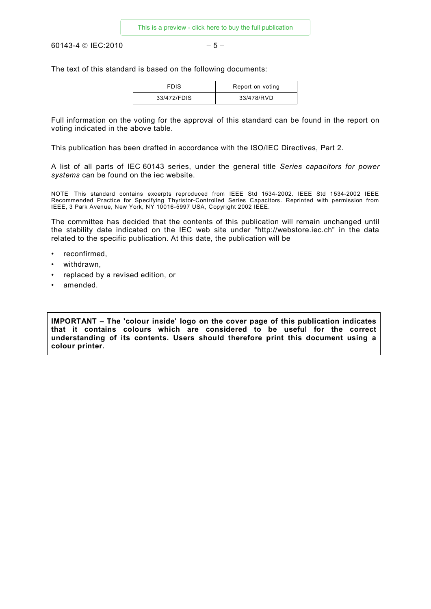$60143-4 \odot$  IEC:2010  $-5-$ 

The text of this standard is based on the following documents:

| <b>FDIS</b> | Report on voting |
|-------------|------------------|
| 33/472/FDIS | 33/478/RVD       |

Full information on the voting for the approval of this standard can be found in the report on voting indicated in the above table.

This publication has been drafted in accordance with the ISO/IEC Directives, Part 2.

A list of all parts of IEC 60143 series, under the general title Series capacitors for power systems can be found on the iec website.

NOTE This standard contains excerpts reproduced from IEEE Std 1534-2002. IEEE Std 1534-2002 IEEE Recommended Practice for Specifying Thyristor-Controlled Series Capacitors. Reprinted with permission from IEEE, 3 Park Avenue, New York, NY 10016-5997 USA, Copyright 2002 IEEE.

The committee has decided that the contents of this publication will remain unchanged until the stability date indicated on the IEC web site under "http://webstore.iec.ch" in the data related to the specific publication. At this date, the publication will be

- reconfirmed.
- withdrawn,
- replaced by a revised edition, or
- amended.

**IMPORTANT - The 'colour inside' logo on the cover page of this publication indicates** that it contains colours which are considered to be useful for the correct understanding of its contents. Users should therefore print this document using a colour printer.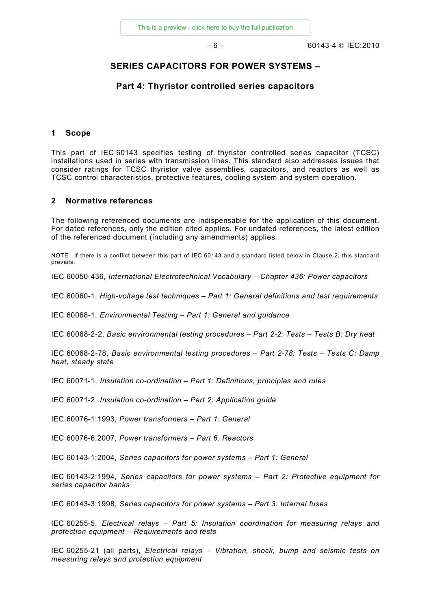$-6-$ 

# **SERIES CAPACITORS FOR POWER SYSTEMS -**

# Part 4: Thyristor controlled series capacitors

#### <span id="page-5-0"></span> $\blacktriangleleft$ **Scope**

This part of IEC 60143 specifies testing of thyristor controlled series capacitor (TCSC) installations used in series with transmission lines. This standard also addresses issues that consider ratings for TCSC thyristor valve assemblies, capacitors, and reactors as well as TCSC control characteristics, protective features, cooling system and system operation.

#### <span id="page-5-1"></span> $\overline{2}$ Normative references

The following referenced documents are indispensable for the application of this document. For dated references, only the edition cited applies. For undated references, the latest edition of the referenced document (including any amendments) applies.

NOTE If there is a conflict between this part of IEC 60143 and a standard listed below in Clause 2, this standard prevails.

IEC 60050-436, International Electrotechnical Vocabulary - Chapter 436: Power capacitors

IEC 60060-1, High-voltage test techniques - Part 1: General definitions and test requirements

IEC 60068-1, Environmental Testing - Part 1: General and guidance

IEC 60068-2-2, Basic environmental testing procedures - Part 2-2: Tests - Tests B: Dry heat

IEC 60068-2-78, Basic environmental testing procedures - Part 2-78: Tests - Tests C: Damp heat, steady state

IEC 60071-1, Insulation co-ordination – Part 1: Definitions, principles and rules

IEC 60071-2. Insulation co-ordination - Part 2: Application quide

IEC 60076-1:1993, Power transformers - Part 1: General

IEC 60076-6:2007, Power transformers - Part 6: Reactors

IEC 60143-1:2004. Series capacitors for power systems - Part 1: General

IEC 60143-2:1994, Series capacitors for power systems - Part 2: Protective equipment for series capacitor banks

IEC 60143-3:1998. Series capacitors for power systems - Part 3: Internal fuses

IEC 60255-5, Electrical relays – Part 5: Insulation coordination for measuring relays and protection equipment - Requirements and tests

IEC 60255-21 (all parts), Electrical relays - Vibration, shock, bump and seismic tests on measuring relays and protection equipment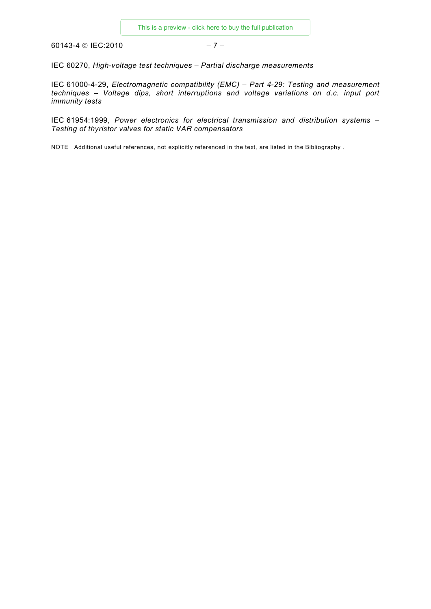60143-4 © IEC:2010

# $-7-$

IEC 60270, High-voltage test techniques - Partial discharge measurements

IEC 61000-4-29, Electromagnetic compatibility (EMC) - Part 4-29: Testing and measurement techniques – Voltage dips, short interruptions and voltage variations on d.c. input port *immunity* tests

IEC 61954:1999, Power electronics for electrical transmission and distribution systems -Testing of thyristor valves for static VAR compensators

<span id="page-6-2"></span><span id="page-6-1"></span><span id="page-6-0"></span>NOTE Additional useful references, not explicitly referenced in the text, are listed in the Bibliography.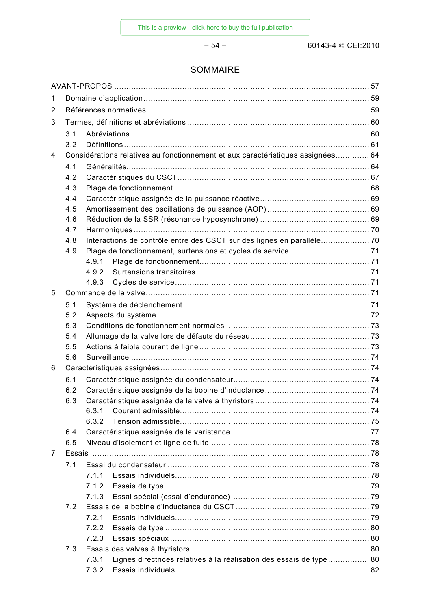$-54-$ 

# SOMMAIRE

| 1 |     |                                                                                 |  |  |
|---|-----|---------------------------------------------------------------------------------|--|--|
| 2 |     |                                                                                 |  |  |
| 3 |     |                                                                                 |  |  |
|   | 3.1 |                                                                                 |  |  |
|   | 3.2 |                                                                                 |  |  |
| 4 |     | Considérations relatives au fonctionnement et aux caractéristiques assignées 64 |  |  |
|   | 4.1 |                                                                                 |  |  |
|   | 4.2 |                                                                                 |  |  |
|   | 4.3 |                                                                                 |  |  |
|   | 4.4 |                                                                                 |  |  |
|   | 4.5 |                                                                                 |  |  |
|   | 4.6 |                                                                                 |  |  |
|   | 4.7 |                                                                                 |  |  |
|   | 4.8 | Interactions de contrôle entre des CSCT sur des lignes en parallèle 70          |  |  |
|   | 4.9 |                                                                                 |  |  |
|   |     | 4.9.1                                                                           |  |  |
|   |     | 4.9.2                                                                           |  |  |
|   |     | 4.9.3                                                                           |  |  |
| 5 |     |                                                                                 |  |  |
|   | 5.1 |                                                                                 |  |  |
|   | 5.2 |                                                                                 |  |  |
|   | 5.3 |                                                                                 |  |  |
|   | 5.4 |                                                                                 |  |  |
|   | 5.5 |                                                                                 |  |  |
|   | 5.6 |                                                                                 |  |  |
| 6 |     |                                                                                 |  |  |
|   | 6.1 |                                                                                 |  |  |
|   | 6.2 |                                                                                 |  |  |
|   | 6.3 |                                                                                 |  |  |
|   |     | 6.3.1                                                                           |  |  |
|   |     | 6.3.2                                                                           |  |  |
|   | 6.4 |                                                                                 |  |  |
|   | 6.5 |                                                                                 |  |  |
| 7 |     |                                                                                 |  |  |
|   | 7.1 |                                                                                 |  |  |
|   |     | 7 1 1                                                                           |  |  |
|   |     | 7.1.2                                                                           |  |  |
|   |     | 7.1.3                                                                           |  |  |
|   | 7.2 |                                                                                 |  |  |
|   |     | 7.2.1                                                                           |  |  |
|   |     | 7.2.2                                                                           |  |  |
|   |     | 7.2.3                                                                           |  |  |
|   | 7.3 |                                                                                 |  |  |
|   |     | Lignes directrices relatives à la réalisation des essais de type 80<br>7.3.1    |  |  |
|   |     | 7.3.2                                                                           |  |  |
|   |     |                                                                                 |  |  |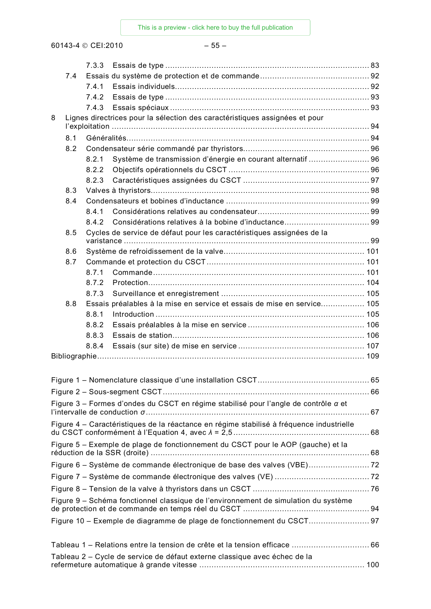60143-4 © CEI:2010

# $-55-$

|                                                                                     | 7.4                                                                       |       |                                                                                          |    |  |
|-------------------------------------------------------------------------------------|---------------------------------------------------------------------------|-------|------------------------------------------------------------------------------------------|----|--|
|                                                                                     |                                                                           | 7.4.1 |                                                                                          |    |  |
|                                                                                     |                                                                           | 7.4.2 |                                                                                          |    |  |
|                                                                                     |                                                                           | 7.4.3 |                                                                                          |    |  |
| 8                                                                                   |                                                                           |       | Lignes directrices pour la sélection des caractéristiques assignées et pour              |    |  |
|                                                                                     |                                                                           |       |                                                                                          |    |  |
|                                                                                     | 8.1                                                                       |       |                                                                                          |    |  |
|                                                                                     | 8.2                                                                       |       |                                                                                          |    |  |
|                                                                                     |                                                                           | 8.2.1 | Système de transmission d'énergie en courant alternatif  96                              |    |  |
|                                                                                     |                                                                           | 8.2.2 |                                                                                          |    |  |
|                                                                                     |                                                                           | 8.2.3 |                                                                                          |    |  |
|                                                                                     | 8.3                                                                       |       |                                                                                          |    |  |
|                                                                                     | 8.4                                                                       |       |                                                                                          |    |  |
|                                                                                     |                                                                           | 841   |                                                                                          |    |  |
|                                                                                     |                                                                           | 8.4.2 |                                                                                          |    |  |
|                                                                                     | 8.5                                                                       |       | Cycles de service de défaut pour les caractéristiques assignées de la                    |    |  |
|                                                                                     | 8.6                                                                       |       |                                                                                          |    |  |
|                                                                                     | 8.7                                                                       |       |                                                                                          |    |  |
|                                                                                     |                                                                           | 8.7.1 |                                                                                          |    |  |
|                                                                                     |                                                                           | 8.7.2 |                                                                                          |    |  |
|                                                                                     |                                                                           | 8.7.3 |                                                                                          |    |  |
|                                                                                     | 8.8                                                                       |       | Essais préalables à la mise en service et essais de mise en service 105                  |    |  |
|                                                                                     |                                                                           | 8.8.1 |                                                                                          |    |  |
|                                                                                     |                                                                           | 8.8.2 |                                                                                          |    |  |
|                                                                                     |                                                                           | 8.8.3 |                                                                                          |    |  |
|                                                                                     |                                                                           | 8.8.4 |                                                                                          |    |  |
|                                                                                     |                                                                           |       |                                                                                          |    |  |
|                                                                                     |                                                                           |       |                                                                                          |    |  |
|                                                                                     |                                                                           |       | Figure 1 - Nomenclature classique d'une installation CSCT.                               | 65 |  |
|                                                                                     |                                                                           |       |                                                                                          |    |  |
|                                                                                     |                                                                           |       | Figure 3 - Formes d'ondes du CSCT en régime stabilisé pour l'angle de contrôle a et      |    |  |
|                                                                                     |                                                                           |       |                                                                                          |    |  |
|                                                                                     |                                                                           |       | Figure 4 – Caractéristiques de la réactance en régime stabilisé à fréquence industrielle |    |  |
|                                                                                     |                                                                           |       |                                                                                          |    |  |
|                                                                                     |                                                                           |       | Figure 5 - Exemple de plage de fonctionnement du CSCT pour le AOP (gauche) et la         |    |  |
|                                                                                     |                                                                           |       |                                                                                          |    |  |
|                                                                                     |                                                                           |       |                                                                                          |    |  |
|                                                                                     |                                                                           |       |                                                                                          |    |  |
|                                                                                     |                                                                           |       |                                                                                          |    |  |
| Figure 9 – Schéma fonctionnel classique de l'environnement de simulation du système |                                                                           |       |                                                                                          |    |  |
| Figure 10 - Exemple de diagramme de plage de fonctionnement du CSCT 97              |                                                                           |       |                                                                                          |    |  |
|                                                                                     |                                                                           |       |                                                                                          |    |  |
|                                                                                     |                                                                           |       |                                                                                          |    |  |
|                                                                                     |                                                                           |       |                                                                                          |    |  |
|                                                                                     | Tableau 2 - Cycle de service de défaut externe classique avec échec de la |       |                                                                                          |    |  |
|                                                                                     |                                                                           |       |                                                                                          |    |  |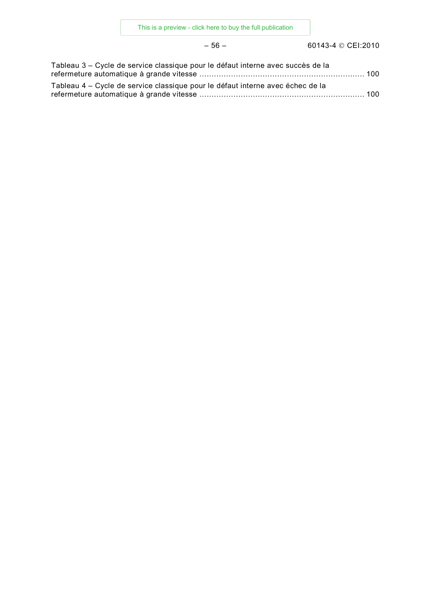# $-56$  - 60143-4 © CEI:2010

| Tableau 4 – Cycle de service classique pour le défaut interne avec échec de la | Tableau 3 – Cycle de service classique pour le défaut interne avec succès de la |  |
|--------------------------------------------------------------------------------|---------------------------------------------------------------------------------|--|
|                                                                                |                                                                                 |  |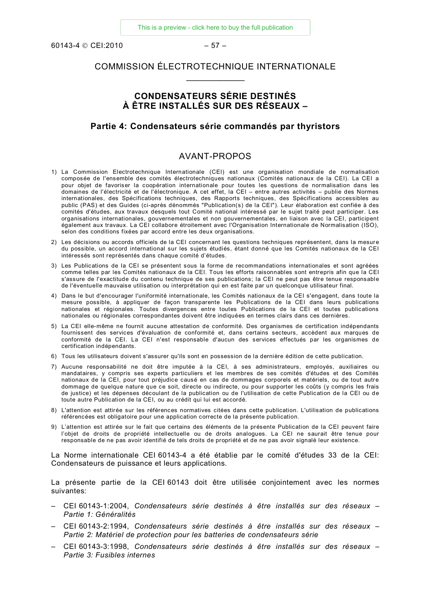60143-4 © CFI:2010

 $-57-$ 

# **COMMISSION ÉLECTROTECHNIQUE INTERNATIONALE**

# **CONDENSATEURS SÉRIE DESTINÉS** À ÊTRE INSTALI ÉS SUR DES RÉSEAUX -

### Partie 4: Condensateurs série commandés par thyristors

## <span id="page-10-0"></span>AVANT-PROPOS

- 1) La Commission Electrotechnique Internationale (CEI) est une organisation mondiale de normalisation composée de l'ensemble des comités électrotechniques nationaux (Comités nationaux de la CEI). La CEI a pour objet de favoriser la coopération internationale pour toutes les questions de normalisation dans les domaines de l'électricité et de l'électronique. A cet effet, la CEI - entre autres activités - publie des Normes internationales, des Spécifications techniques, des Rapports techniques, des Spécifications accessibles au public (PAS) et des Guides (ci-après dénommés "Publication(s) de la CEI"). Leur élaboration est confiée à des comités d'études, aux travaux desquels tout Comité national intéressé par le sujet traité peut participer. Les organisations internationales, gouvernementales et non gouvernementales, en liaison avec la CEI, participent également aux travaux. La CEI collabore étroitement avec l'Organisation Internationale de Normalisation (ISO), selon des conditions fixées par accord entre les deux organisations.
- 2) Les décisions ou accords officiels de la CEI concernant les questions techniques représentent, dans la mesure du possible, un accord international sur les sujets étudiés, étant donné que les Comités nationaux de la CEI intéressés sont représentés dans chaque comité d'études.
- 3) Les Publications de la CEI se présentent sous la forme de recommandations internationales et sont agréées comme telles par les Comités nationaux de la CEI. Tous les efforts raisonnables sont entrepris afin que la CEI s'assure de l'exactitude du contenu technique de ses publications; la CEI ne peut pas être tenue responsable de l'éventuelle mauvaise utilisation ou interprétation qui en est faite par un quelconque utilisateur final.
- 4) Dans le but d'encourager l'uniformité internationale, les Comités nationaux de la CEI s'engagent, dans toute la mesure possible, à appliquer de façon transparente les Publications de la CEI dans leurs publications nationales et régionales. Toutes divergences entre toutes Publications de la CEI et toutes publications nationales ou régionales correspondantes doivent être indiquées en termes clairs dans ces dernières.
- 5) La CEI elle-même ne fournit aucune attestation de conformité. Des organismes de certification indépendants fournissent des services d'évaluation de conformité et, dans certains secteurs, accèdent aux marques de conformité de la CEI. La CEI n'est responsable d'aucun des services effectués par les organismes de certification indépendants.
- 6) Tous les utilisateurs doivent s'assurer qu'ils sont en possession de la dernière édition de cette publication.
- 7) Aucune responsabilité ne doit être imputée à la CEI, à ses administrateurs, employés, auxiliaires ou mandataires, y compris ses experts particuliers et les membres de ses comités d'études et des Comités nationaux de la CEI, pour tout préjudice causé en cas de dommages corporels et matériels, ou de tout autre dommage de quelque nature que ce soit, directe ou indirecte, ou pour supporter les coûts (y compris les frais de justice) et les dépenses découlant de la publication ou de l'utilisation de cette Publication de la CEI ou de toute autre Publication de la CEI, ou au crédit qui lui est accordé.
- 8) L'attention est attirée sur les références normatives citées dans cette publication. L'utilisation de publications référencées est obligatoire pour une application correcte de la présente publication.
- 9) L'attention est attirée sur le fait que certains des éléments de la présente Publication de la CEI peuvent faire<br>l'objet de droits de propriété intellectuelle ou de droits analogues. La CEI ne saurait être tenue pour responsable de ne pas avoir identifié de tels droits de propriété et de ne pas avoir signalé leur existence.

La Norme internationale CEI 60143-4 a été établie par le comité d'études 33 de la CEI: Condensateurs de puissance et leurs applications.

La présente partie de la CEI 60143 doit être utilisée conjointement avec les normes suivantes:

- CEI 60143-1:2004. Condensateurs série destinés à être installés sur des réseaux -Partie 1: Généralités
- CEI 60143-2:1994, Condensateurs série destinés à être installés sur des réseaux -Partie 2: Matériel de protection pour les batteries de condensateurs série
- CEI 60143-3:1998, Condensateurs série destinés à être installés sur des réseaux -Partie 3: Fusibles internes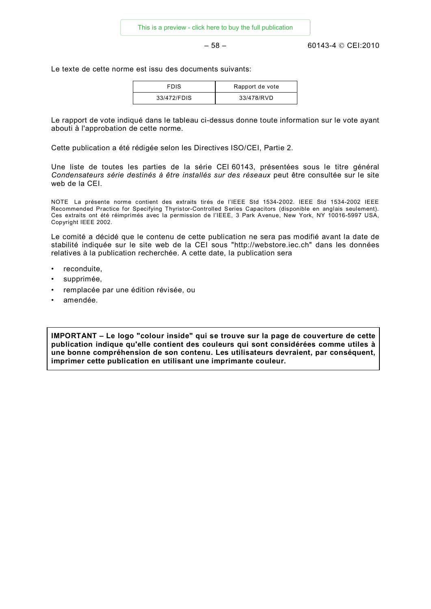$-58-$ 

60143-4 © CFI:2010

Le texte de cette norme est issu des documents suivants:

| <b>FDIS</b> | Rapport de vote |
|-------------|-----------------|
| 33/472/FDIS | 33/478/RVD      |

Le rapport de vote indiqué dans le tableau ci-dessus donne toute information sur le vote ayant abouti à l'approbation de cette norme.

Cette publication a été rédigée selon les Directives ISO/CEI, Partie 2.

Une liste de toutes les parties de la série CEI 60143, présentées sous le titre général Condensateurs série destinés à être installés sur des réseaux peut être consultée sur le site web de la CEI.

NOTE La présente norme contient des extraits tirés de l'IEEE Std 1534-2002. IEEE Std 1534-2002 IEEE Recommended Practice for Specifying Thyristor-Controlled Series Capacitors (disponible en anglais seulement). Ces extraits ont été réimprimés avec la permission de l'IEEE, 3 Park Avenue, New York, NY 10016-5997 USA, Copyright IEEE 2002.

Le comité a décidé que le contenu de cette publication ne sera pas modifié avant la date de stabilité indiquée sur le site web de la CEI sous "http://webstore.iec.ch" dans les données relatives à la publication recherchée. A cette date, la publication sera

- reconduite.
- supprimée,
- remplacée par une édition révisée, ou
- amendée.

IMPORTANT - Le logo "colour inside" qui se trouve sur la page de couverture de cette publication indique qu'elle contient des couleurs qui sont considérées comme utiles à une bonne compréhension de son contenu. Les utilisateurs devraient, par conséquent, imprimer cette publication en utilisant une imprimante couleur.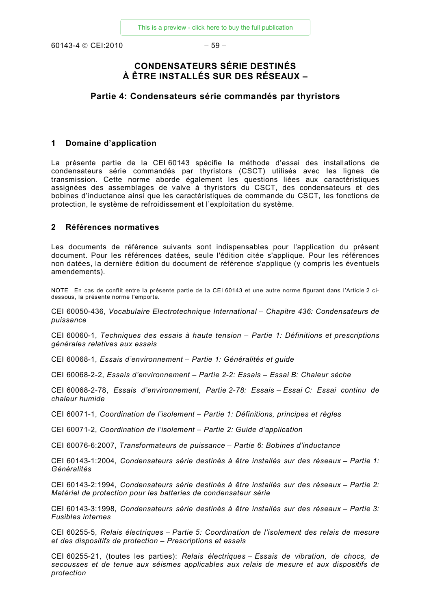60143-4 © CFI:2010

 $-59-$ 

# **CONDENSATEURS SÉRIE DESTINÉS** À ÊTRE INSTALLÉS SUR DES RÉSEAUX -

# Partie 4: Condensateurs série commandés par thyristors

#### <span id="page-12-0"></span>Domaine d'application  $\mathbf 1$

La présente partie de la CEI 60143 spécifie la méthode d'essai des installations de condensateurs série commandés par thyristors (CSCT) utilisés avec les lignes de transmission. Cette norme aborde également les questions liées aux caractéristiques assignées des assemblages de valve à thyristors du CSCT, des condensateurs et des bobines d'inductance ainsi que les caractéristiques de commande du CSCT, les fonctions de protection, le système de refroidissement et l'exploitation du système.

### <span id="page-12-1"></span> $\overline{2}$ Références normatives

Les documents de référence suivants sont indispensables pour l'application du présent document. Pour les références datées, seule l'édition citée s'applique. Pour les références non datées, la dernière édition du document de référence s'applique (y compris les éventuels amendements).

NOTE En cas de conflit entre la présente partie de la CEI 60143 et une autre norme figurant dans l'Article 2 cidessous, la présente norme l'emporte.

CEI 60050-436, Vocabulaire Electrotechnique International - Chapitre 436: Condensateurs de puissance

CEI 60060-1, Techniques des essais à haute tension - Partie 1: Définitions et prescriptions générales relatives aux essais

CEI 60068-1, Essais d'environnement - Partie 1: Généralités et guide

CEI 60068-2-2, Essais d'environnement - Partie 2-2: Essais - Essai B: Chaleur sèche

CEI 60068-2-78, Essais d'environnement, Partie 2-78: Essais - Essai C: Essai continu de chaleur humide

CEI 60071-1, Coordination de l'isolement - Partie 1: Définitions, principes et règles

CEI 60071-2, Coordination de l'isolement - Partie 2: Guide d'application

CEI 60076-6:2007, Transformateurs de puissance - Partie 6: Bobines d'inductance

CEI 60143-1:2004, Condensateurs série destinés à être installés sur des réseaux - Partie 1: Généralités

CEI 60143-2:1994, Condensateurs série destinés à être installés sur des réseaux – Partie 2: Matériel de protection pour les batteries de condensateur série

CEI 60143-3:1998, Condensateurs série destinés à être installés sur des réseaux - Partie 3: **Fusibles internes** 

CEI 60255-5, Relais électriques – Partie 5: Coordination de l'isolement des relais de mesure et des dispositifs de protection - Prescriptions et essais

CEI 60255-21, (toutes les parties): Relais électriques - Essais de vibration, de chocs, de secousses et de tenue aux séismes applicables aux relais de mesure et aux dispositifs de protection